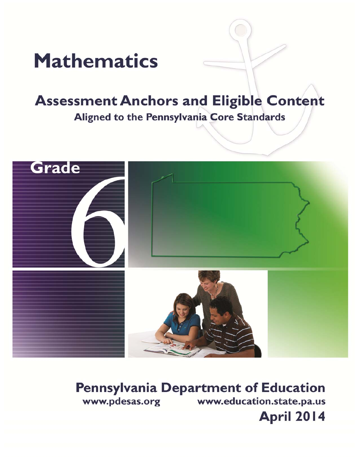

# **Assessment Anchors and Eligible Content** Aligned to the Pennsylvania Core Standards



**Pennsylvania Department of Education** www.pdesas.org www.education.state.pa.us **April 2014**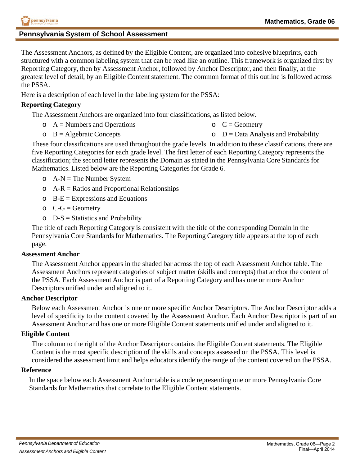## **Pennsylvania System of School Assessment**

The Assessment Anchors, as defined by the Eligible Content, are organized into cohesive blueprints, each structured with a common labeling system that can be read like an outline. This framework is organized first by Reporting Category, then by Assessment Anchor, followed by Anchor Descriptor, and then finally, at the greatest level of detail, by an Eligible Content statement. The common format of this outline is followed across the PSSA.

Here is a description of each level in the labeling system for the PSSA:

## **Reporting Category**

The Assessment Anchors are organized into four classifications, as listed below.

- $\circ$  A = Numbers and Operations  $C = Geometry$
- $\circ$  B = Algebraic Concepts  $\circ$  D = Data Analysis and Probability

These four classifications are used throughout the grade levels. In addition to these classifications, there are five Reporting Categories for each grade level. The first letter of each Reporting Category represents the classification; the second letter represents the Domain as stated in the Pennsylvania Core Standards for Mathematics. Listed below are the Reporting Categories for Grade 6.

- $\circ$  A-N = The Number System
- $\circ$  A-R = Ratios and Proportional Relationships
- $\circ$  B-E = Expressions and Equations
- $\circ$  C-G = Geometry
- $\circ$  D-S = Statistics and Probability

The title of each Reporting Category is consistent with the title of the corresponding Domain in the Pennsylvania Core Standards for Mathematics. The Reporting Category title appears at the top of each page.

## **Assessment Anchor**

The Assessment Anchor appears in the shaded bar across the top of each Assessment Anchor table. The Assessment Anchors represent categories of subject matter (skills and concepts) that anchor the content of the PSSA. Each Assessment Anchor is part of a Reporting Category and has one or more Anchor Descriptors unified under and aligned to it.

## **Anchor Descriptor**

Below each Assessment Anchor is one or more specific Anchor Descriptors. The Anchor Descriptor adds a level of specificity to the content covered by the Assessment Anchor. Each Anchor Descriptor is part of an Assessment Anchor and has one or more Eligible Content statements unified under and aligned to it.

## **Eligible Content**

The column to the right of the Anchor Descriptor contains the Eligible Content statements. The Eligible Content is the most specific description of the skills and concepts assessed on the PSSA. This level is considered the assessment limit and helps educators identify the range of the content covered on the PSSA.

## **Reference**

In the space below each Assessment Anchor table is a code representing one or more Pennsylvania Core Standards for Mathematics that correlate to the Eligible Content statements.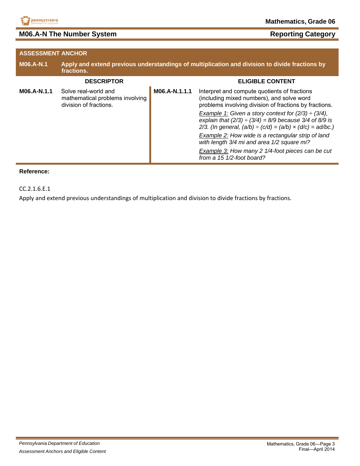

## **M06.A-N The Number System <b>Reporting Category Reporting Category**

| <b>ASSESSMENT ANCHOR</b> |                                                                                                              |               |                                                                                                                                                                                                                                                                                                                                                                                                                                                                                                                                                         |
|--------------------------|--------------------------------------------------------------------------------------------------------------|---------------|---------------------------------------------------------------------------------------------------------------------------------------------------------------------------------------------------------------------------------------------------------------------------------------------------------------------------------------------------------------------------------------------------------------------------------------------------------------------------------------------------------------------------------------------------------|
| <b>M06.A-N.1</b>         | Apply and extend previous understandings of multiplication and division to divide fractions by<br>fractions. |               |                                                                                                                                                                                                                                                                                                                                                                                                                                                                                                                                                         |
|                          | <b>DESCRIPTOR</b>                                                                                            |               | <b>ELIGIBLE CONTENT</b>                                                                                                                                                                                                                                                                                                                                                                                                                                                                                                                                 |
| M06.A-N.1.1              | Solve real-world and<br>mathematical problems involving<br>division of fractions.                            | M06.A-N.1.1.1 | Interpret and compute quotients of fractions<br>(including mixed numbers), and solve word<br>problems involving division of fractions by fractions.<br>Example 1: Given a story context for $(2/3) \div (3/4)$ ,<br>explain that $(2/3) \div (3/4) = 8/9$ because 3/4 of 8/9 is<br>2/3. (In general, $(a/b) \div (c/d) = (a/b) \times (d/c) = ad/bc$ .)<br>Example 2: How wide is a rectangular strip of land<br>with length 3/4 mi and area 1/2 square mi?<br>Example 3: How many 2 1/4-foot pieces can be cut<br>from a $15 \frac{1}{2}$ -foot board? |

#### **Reference:**

CC.2.1.6.E.1

Apply and extend previous understandings of multiplication and division to divide fractions by fractions.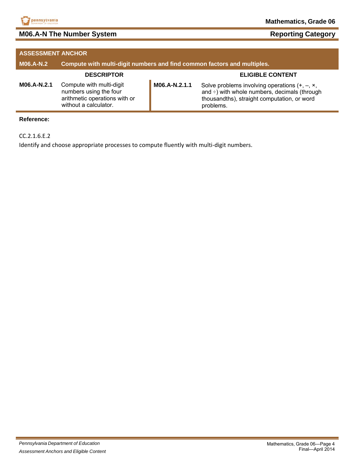

## **M06.A-N The Number System Reporting Category** Reporting Category

| <b>ASSESSMENT ANCHOR</b> |                                                                                                              |               |                                                                                                                                                                        |
|--------------------------|--------------------------------------------------------------------------------------------------------------|---------------|------------------------------------------------------------------------------------------------------------------------------------------------------------------------|
| <b>M06.A-N.2</b>         | Compute with multi-digit numbers and find common factors and multiples.                                      |               |                                                                                                                                                                        |
|                          | <b>DESCRIPTOR</b>                                                                                            |               | <b>ELIGIBLE CONTENT</b>                                                                                                                                                |
| M06.A-N.2.1              | Compute with multi-digit<br>numbers using the four<br>arithmetic operations with or<br>without a calculator. | M06.A-N.2.1.1 | Solve problems involving operations $(+, -, \times,$<br>and $\div$ ) with whole numbers, decimals (through<br>thousandths), straight computation, or word<br>problems. |

### **Reference:**

CC.2.1.6.E.2

Identify and choose appropriate processes to compute fluently with multi-digit numbers.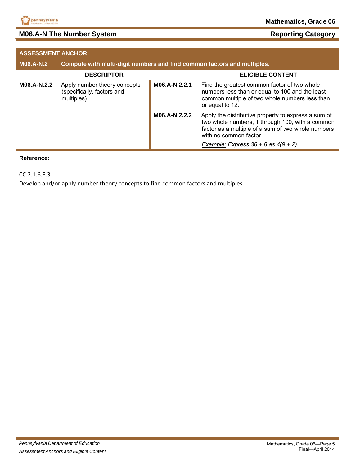

## **M06.A-N The Number System Reporting Category** Reporting Category

| <b>ASSESSMENT ANCHOR</b> |                                                                           |               |                                                                                                                                                                                                                                     |
|--------------------------|---------------------------------------------------------------------------|---------------|-------------------------------------------------------------------------------------------------------------------------------------------------------------------------------------------------------------------------------------|
| <b>M06.A-N.2</b>         | Compute with multi-digit numbers and find common factors and multiples.   |               |                                                                                                                                                                                                                                     |
|                          | <b>DESCRIPTOR</b>                                                         |               | <b>ELIGIBLE CONTENT</b>                                                                                                                                                                                                             |
| M06.A-N.2.2              | Apply number theory concepts<br>(specifically, factors and<br>multiples). | M06.A-N.2.2.1 | Find the greatest common factor of two whole<br>numbers less than or equal to 100 and the least<br>common multiple of two whole numbers less than<br>or equal to 12.                                                                |
|                          |                                                                           | M06.A-N.2.2.2 | Apply the distributive property to express a sum of<br>two whole numbers, 1 through 100, with a common<br>factor as a multiple of a sum of two whole numbers<br>with no common factor.<br>Example: Express $36 + 8$ as $4(9 + 2)$ . |

#### **Reference:**

CC.2.1.6.E.3

Develop and/or apply number theory concepts to find common factors and multiples.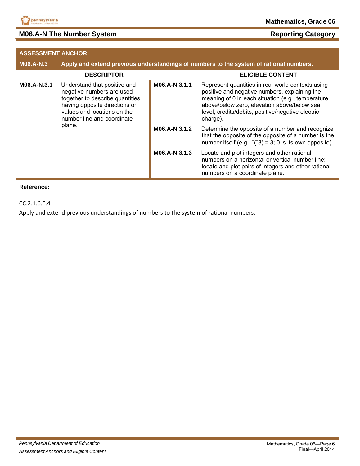

## **M06.A-N The Number System Reporting Category** Reporting Category

| <b>ASSESSMENT ANCHOR</b> |                                                                                                                                                                                            |               |                                                                                                                                                                                                                                                                         |
|--------------------------|--------------------------------------------------------------------------------------------------------------------------------------------------------------------------------------------|---------------|-------------------------------------------------------------------------------------------------------------------------------------------------------------------------------------------------------------------------------------------------------------------------|
| <b>M06.A-N.3</b>         |                                                                                                                                                                                            |               | Apply and extend previous understandings of numbers to the system of rational numbers.                                                                                                                                                                                  |
|                          | <b>DESCRIPTOR</b>                                                                                                                                                                          |               | <b>ELIGIBLE CONTENT</b>                                                                                                                                                                                                                                                 |
| M06.A-N.3.1              | Understand that positive and<br>negative numbers are used<br>together to describe quantities<br>having opposite directions or<br>values and locations on the<br>number line and coordinate | M06.A-N.3.1.1 | Represent quantities in real-world contexts using<br>positive and negative numbers, explaining the<br>meaning of 0 in each situation (e.g., temperature<br>above/below zero, elevation above/below sea<br>level, credits/debits, positive/negative electric<br>charge). |
| plane.                   |                                                                                                                                                                                            | M06.A-N.3.1.2 | Determine the opposite of a number and recognize<br>that the opposite of the opposite of a number is the<br>number itself (e.g., $\frac{1}{2}$ = 3; 0 is its own opposite).                                                                                             |
|                          |                                                                                                                                                                                            | M06.A-N.3.1.3 | Locate and plot integers and other rational<br>numbers on a horizontal or vertical number line;<br>locate and plot pairs of integers and other rational<br>numbers on a coordinate plane.                                                                               |

#### **Reference:**

CC.2.1.6.E.4

Apply and extend previous understandings of numbers to the system of rational numbers.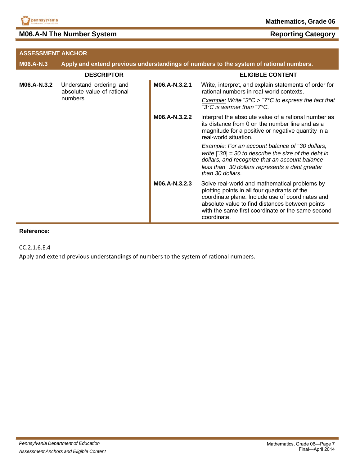

## **M06.A-N The Number System**

| <b>Reporting Category</b> |
|---------------------------|
|---------------------------|

| <b>ASSESSMENT ANCHOR</b> |                                                                   |               |                                                                                                                                                                                                                                                                          |
|--------------------------|-------------------------------------------------------------------|---------------|--------------------------------------------------------------------------------------------------------------------------------------------------------------------------------------------------------------------------------------------------------------------------|
| <b>M06.A-N.3</b>         |                                                                   |               | Apply and extend previous understandings of numbers to the system of rational numbers.                                                                                                                                                                                   |
|                          | <b>DESCRIPTOR</b>                                                 |               | <b>ELIGIBLE CONTENT</b>                                                                                                                                                                                                                                                  |
| M06.A-N.3.2              | Understand ordering and<br>absolute value of rational<br>numbers. | M06.A-N.3.2.1 | Write, interpret, and explain statements of order for<br>rational numbers in real-world contexts.<br><b>Example:</b> Write $\bar{ }$ 3°C > $\bar{ }$ 7°C to express the fact that                                                                                        |
|                          |                                                                   |               | ⊺3°C is warmer than  ־7°C.                                                                                                                                                                                                                                               |
|                          |                                                                   | M06.A-N.3.2.2 | Interpret the absolute value of a rational number as<br>its distance from 0 on the number line and as a<br>magnitude for a positive or negative quantity in a<br>real-world situation.                                                                                   |
|                          |                                                                   |               | <b>Example:</b> For an account balance of 30 dollars,<br>write $\lceil 30 \rceil = 30$ to describe the size of the debt in<br>dollars, and recognize that an account balance<br>less than <sup>-</sup> 30 dollars represents a debt greater<br>than 30 dollars.          |
|                          |                                                                   | M06.A-N.3.2.3 | Solve real-world and mathematical problems by<br>plotting points in all four quadrants of the<br>coordinate plane. Include use of coordinates and<br>absolute value to find distances between points<br>with the same first coordinate or the same second<br>coordinate. |

#### **Reference:**

CC.2.1.6.E.4

Apply and extend previous understandings of numbers to the system of rational numbers.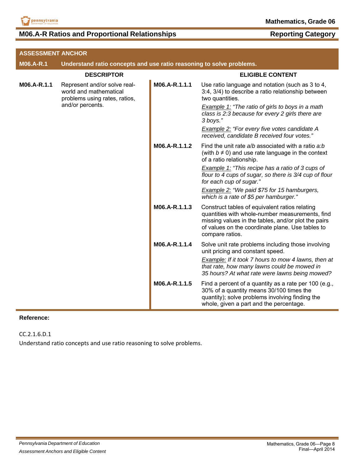

## **M06.A-R Ratios and Proportional Relationships Reporting Category**

| <b>ASSESSMENT ANCHOR</b>                                  |                                                                      |                                                                                       |                                                                                                                                                                                                                                 |
|-----------------------------------------------------------|----------------------------------------------------------------------|---------------------------------------------------------------------------------------|---------------------------------------------------------------------------------------------------------------------------------------------------------------------------------------------------------------------------------|
| M06.A-R.1                                                 | Understand ratio concepts and use ratio reasoning to solve problems. |                                                                                       |                                                                                                                                                                                                                                 |
|                                                           | <b>DESCRIPTOR</b>                                                    |                                                                                       | <b>ELIGIBLE CONTENT</b>                                                                                                                                                                                                         |
| M06.A-R.1.1<br>world and mathematical<br>and/or percents. | Represent and/or solve real-<br>problems using rates, ratios,        | M06.A-R.1.1.1                                                                         | Use ratio language and notation (such as 3 to 4,<br>3:4, 3/4) to describe a ratio relationship between<br>two quantities.                                                                                                       |
|                                                           |                                                                      |                                                                                       | <b>Example 1: "The ratio of girls to boys in a math</b><br>class is 2:3 because for every 2 girls there are<br>3 boys."                                                                                                         |
|                                                           |                                                                      |                                                                                       | Example 2: "For every five votes candidate A<br>received, candidate B received four votes."                                                                                                                                     |
|                                                           |                                                                      | M06.A-R.1.1.2                                                                         | Find the unit rate a/b associated with a ratio a:b<br>(with $b \neq 0$ ) and use rate language in the context<br>of a ratio relationship.                                                                                       |
|                                                           |                                                                      |                                                                                       | Example 1: "This recipe has a ratio of 3 cups of<br>flour to 4 cups of sugar, so there is 3/4 cup of flour<br>for each cup of sugar."                                                                                           |
|                                                           |                                                                      | Example 2: "We paid \$75 for 15 hamburgers,<br>which is a rate of \$5 per hamburger." |                                                                                                                                                                                                                                 |
|                                                           |                                                                      | M06.A-R.1.1.3                                                                         | Construct tables of equivalent ratios relating<br>quantities with whole-number measurements, find<br>missing values in the tables, and/or plot the pairs<br>of values on the coordinate plane. Use tables to<br>compare ratios. |
|                                                           |                                                                      | M06.A-R.1.1.4                                                                         | Solve unit rate problems including those involving<br>unit pricing and constant speed.                                                                                                                                          |
|                                                           |                                                                      |                                                                                       | Example: If it took 7 hours to mow 4 lawns, then at<br>that rate, how many lawns could be mowed in<br>35 hours? At what rate were lawns being mowed?                                                                            |
|                                                           |                                                                      | M06.A-R.1.1.5                                                                         | Find a percent of a quantity as a rate per 100 (e.g.,<br>30% of a quantity means 30/100 times the<br>quantity); solve problems involving finding the<br>whole, given a part and the percentage.                                 |

#### **Reference:**

CC.2.1.6.D.1

Understand ratio concepts and use ratio reasoning to solve problems.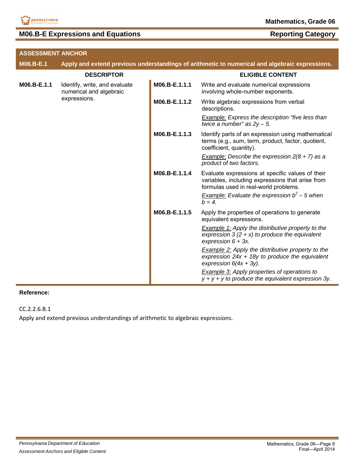

## **M06.B-E Expressions and Equations Reporting Category**

| <b>ASSESSMENT ANCHOR</b> |                                                                          |               |                                                                                                                                               |
|--------------------------|--------------------------------------------------------------------------|---------------|-----------------------------------------------------------------------------------------------------------------------------------------------|
| M06.B-E.1                |                                                                          |               | Apply and extend previous understandings of arithmetic to numerical and algebraic expressions.                                                |
|                          | <b>DESCRIPTOR</b>                                                        |               | <b>ELIGIBLE CONTENT</b>                                                                                                                       |
| M06.B-E.1.1              | Identify, write, and evaluate<br>numerical and algebraic<br>expressions. | M06.B-E.1.1.1 | Write and evaluate numerical expressions<br>involving whole-number exponents.                                                                 |
|                          |                                                                          | M06.B-E.1.1.2 | Write algebraic expressions from verbal<br>descriptions.                                                                                      |
|                          |                                                                          |               | <b>Example:</b> Express the description "five less than<br>twice a number" as $2y - 5$ .                                                      |
|                          |                                                                          | M06.B-E.1.1.3 | Identify parts of an expression using mathematical<br>terms (e.g., sum, term, product, factor, quotient,<br>coefficient, quantity).           |
|                          |                                                                          |               | <b>Example:</b> Describe the expression $2(8 + 7)$ as a<br>product of two factors.                                                            |
|                          |                                                                          | M06.B-E.1.1.4 | Evaluate expressions at specific values of their<br>variables, including expressions that arise from<br>formulas used in real-world problems. |
|                          |                                                                          |               | Example: Evaluate the expression $b^2$ – 5 when<br>$b = 4$ .                                                                                  |
|                          |                                                                          | M06.B-E.1.1.5 | Apply the properties of operations to generate<br>equivalent expressions.                                                                     |
|                          |                                                                          |               | <b>Example 1:</b> Apply the distributive property to the<br>expression $3(2 + x)$ to produce the equivalent<br>expression $6 + 3x$ .          |
|                          |                                                                          |               | <b>Example 2:</b> Apply the distributive property to the<br>expression $24x + 18y$ to produce the equivalent<br>expression $6(4x + 3y)$ .     |
|                          |                                                                          |               | <b>Example 3:</b> Apply properties of operations to<br>$y + y + y$ to produce the equivalent expression 3y.                                   |

#### **Reference:**

CC.2.2.6.B.1

Apply and extend previous understandings of arithmetic to algebraic expressions.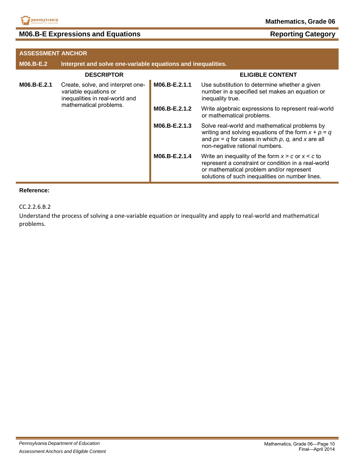

## **M06.B-E Expressions and Equations Reporting Category Reporting Category**

| <b>ASSESSMENT ANCHOR</b> |                                                                                              |               |                                                                                                                                                                                                             |
|--------------------------|----------------------------------------------------------------------------------------------|---------------|-------------------------------------------------------------------------------------------------------------------------------------------------------------------------------------------------------------|
| <b>M06.B-E.2</b>         | Interpret and solve one-variable equations and inequalities.                                 |               |                                                                                                                                                                                                             |
|                          | <b>DESCRIPTOR</b>                                                                            |               | <b>ELIGIBLE CONTENT</b>                                                                                                                                                                                     |
| M06.B-E.2.1              | Create, solve, and interpret one-<br>variable equations or<br>inequalities in real-world and | M06.B-E.2.1.1 | Use substitution to determine whether a given<br>number in a specified set makes an equation or<br>inequality true.                                                                                         |
|                          | mathematical problems.                                                                       | M06.B-E.2.1.2 | Write algebraic expressions to represent real-world<br>or mathematical problems.                                                                                                                            |
|                          |                                                                                              | M06.B-E.2.1.3 | Solve real-world and mathematical problems by<br>writing and solving equations of the form $x + p = q$<br>and $px = q$ for cases in which p, q, and x are all<br>non-negative rational numbers.             |
|                          |                                                                                              | M06.B-E.2.1.4 | Write an inequality of the form $x > c$ or $x < c$ to<br>represent a constraint or condition in a real-world<br>or mathematical problem and/or represent<br>solutions of such inequalities on number lines. |

#### **Reference:**

CC.2.2.6.B.2

Understand the process of solving a one‐variable equation or inequality and apply to real‐world and mathematical problems.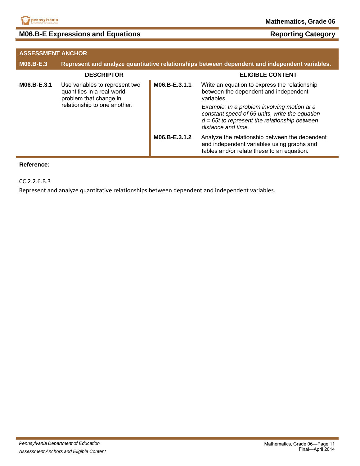

## **M06.B-E Expressions and Equations <b>Reporting Category Reporting Category**

| <b>ASSESSMENT ANCHOR</b> |                                                                                        |               |                                                                                                                                                                        |
|--------------------------|----------------------------------------------------------------------------------------|---------------|------------------------------------------------------------------------------------------------------------------------------------------------------------------------|
| M06.B-E.3                |                                                                                        |               | Represent and analyze quantitative relationships between dependent and independent variables.                                                                          |
|                          | <b>DESCRIPTOR</b>                                                                      |               | <b>ELIGIBLE CONTENT</b>                                                                                                                                                |
| M06.B-E.3.1              | Use variables to represent two<br>quantities in a real-world<br>problem that change in | M06.B-E.3.1.1 | Write an equation to express the relationship<br>between the dependent and independent<br>variables.                                                                   |
|                          | relationship to one another.                                                           |               | Example: In a problem involving motion at a<br>constant speed of 65 units, write the equation<br>$d = 65t$ to represent the relationship between<br>distance and time. |
|                          |                                                                                        | M06.B-E.3.1.2 | Analyze the relationship between the dependent<br>and independent variables using graphs and<br>tables and/or relate these to an equation.                             |

#### **Reference:**

CC.2.2.6.B.3

Represent and analyze quantitative relationships between dependent and independent variables.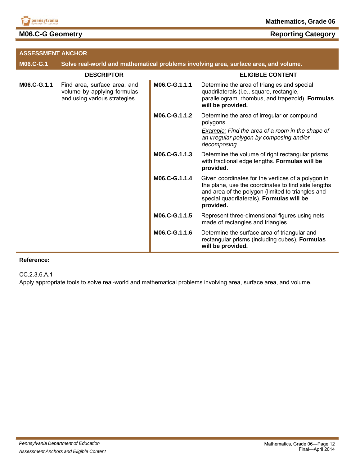

## **M06.C-G Geometry**

| <b>Reporting Category</b> |  |
|---------------------------|--|
|                           |  |

| <b>ASSESSMENT ANCHOR</b> |                                                                                              |               |                                                                                                                                                                                                                          |
|--------------------------|----------------------------------------------------------------------------------------------|---------------|--------------------------------------------------------------------------------------------------------------------------------------------------------------------------------------------------------------------------|
| <b>M06.C-G.1</b>         |                                                                                              |               | Solve real-world and mathematical problems involving area, surface area, and volume.                                                                                                                                     |
|                          | <b>DESCRIPTOR</b>                                                                            |               | <b>ELIGIBLE CONTENT</b>                                                                                                                                                                                                  |
| M06.C-G.1.1              | Find area, surface area, and<br>volume by applying formulas<br>and using various strategies. | M06.C-G.1.1.1 | Determine the area of triangles and special<br>quadrilaterals (i.e., square, rectangle,<br>parallelogram, rhombus, and trapezoid). Formulas<br>will be provided.                                                         |
|                          |                                                                                              | M06.C-G.1.1.2 | Determine the area of irregular or compound<br>polygons.                                                                                                                                                                 |
|                          |                                                                                              |               | Example: Find the area of a room in the shape of<br>an irregular polygon by composing and/or<br>decomposing.                                                                                                             |
|                          |                                                                                              | M06.C-G.1.1.3 | Determine the volume of right rectangular prisms<br>with fractional edge lengths. Formulas will be<br>provided.                                                                                                          |
|                          |                                                                                              | M06.C-G.1.1.4 | Given coordinates for the vertices of a polygon in<br>the plane, use the coordinates to find side lengths<br>and area of the polygon (limited to triangles and<br>special quadrilaterals). Formulas will be<br>provided. |
|                          |                                                                                              | M06.C-G.1.1.5 | Represent three-dimensional figures using nets<br>made of rectangles and triangles.                                                                                                                                      |
|                          |                                                                                              | M06.C-G.1.1.6 | Determine the surface area of triangular and<br>rectangular prisms (including cubes). Formulas<br>will be provided.                                                                                                      |

#### **Reference:**

CC.2.3.6.A.1

Apply appropriate tools to solve real-world and mathematical problems involving area, surface area, and volume.